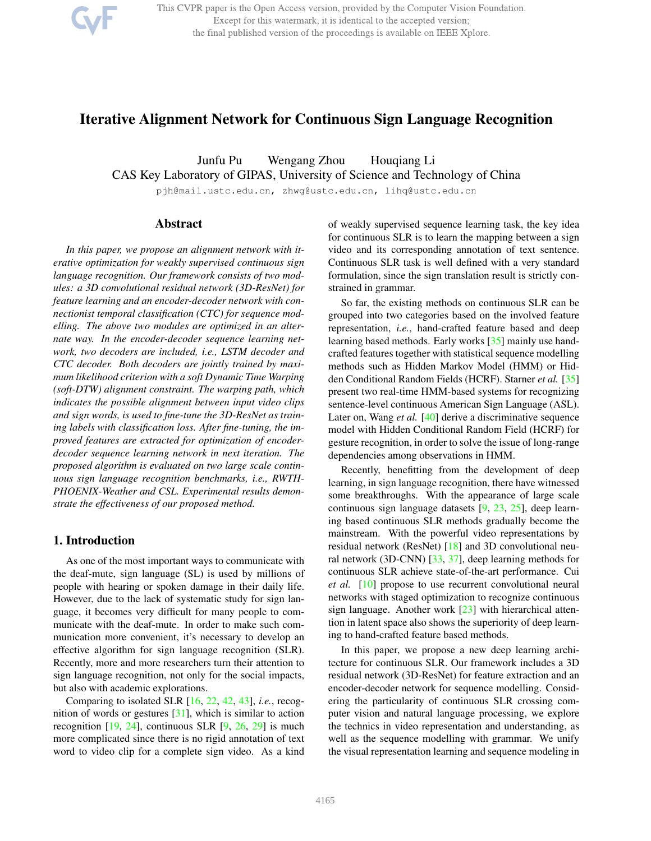

This CVPR paper is the Open Access version, provided by the Computer Vision Foundation. Except for this watermark, it is identical to the accepted version; the final published version of the proceedings is available on IEEE Xplore.

# Iterative Alignment Network for Continuous Sign Language Recognition

Junfu Pu Wengang Zhou Houqiang Li

CAS Key Laboratory of GIPAS, University of Science and Technology of China

pjh@mail.ustc.edu.cn, zhwg@ustc.edu.cn, lihq@ustc.edu.cn

# Abstract

*In this paper, we propose an alignment network with iterative optimization for weakly supervised continuous sign language recognition. Our framework consists of two modules: a 3D convolutional residual network (3D-ResNet) for feature learning and an encoder-decoder network with connectionist temporal classification (CTC) for sequence modelling. The above two modules are optimized in an alternate way. In the encoder-decoder sequence learning network, two decoders are included, i.e., LSTM decoder and CTC decoder. Both decoders are jointly trained by maximum likelihood criterion with a soft Dynamic Time Warping (soft-DTW) alignment constraint. The warping path, which indicates the possible alignment between input video clips and sign words, is used to fine-tune the 3D-ResNet as training labels with classification loss. After fine-tuning, the improved features are extracted for optimization of encoderdecoder sequence learning network in next iteration. The proposed algorithm is evaluated on two large scale continuous sign language recognition benchmarks, i.e., RWTH-PHOENIX-Weather and CSL. Experimental results demonstrate the effectiveness of our proposed method.*

# 1. Introduction

As one of the most important ways to communicate with the deaf-mute, sign language (SL) is used by millions of people with hearing or spoken damage in their daily life. However, due to the lack of systematic study for sign language, it becomes very difficult for many people to communicate with the deaf-mute. In order to make such communication more convenient, it's necessary to develop an effective algorithm for sign language recognition (SLR). Recently, more and more researchers turn their attention to sign language recognition, not only for the social impacts, but also with academic explorations.

Comparing to isolated SLR [16, 22, 42, 43], *i.e.*, recognition of words or gestures [31], which is similar to action recognition  $[19, 24]$ , continuous SLR  $[9, 26, 29]$  is much more complicated since there is no rigid annotation of text word to video clip for a complete sign video. As a kind of weakly supervised sequence learning task, the key idea for continuous SLR is to learn the mapping between a sign video and its corresponding annotation of text sentence. Continuous SLR task is well defined with a very standard formulation, since the sign translation result is strictly constrained in grammar.

So far, the existing methods on continuous SLR can be grouped into two categories based on the involved feature representation, *i.e.*, hand-crafted feature based and deep learning based methods. Early works [35] mainly use handcrafted features together with statistical sequence modelling methods such as Hidden Markov Model (HMM) or Hidden Conditional Random Fields (HCRF). Starner *et al.* [35] present two real-time HMM-based systems for recognizing sentence-level continuous American Sign Language (ASL). Later on, Wang *et al.* [40] derive a discriminative sequence model with Hidden Conditional Random Field (HCRF) for gesture recognition, in order to solve the issue of long-range dependencies among observations in HMM.

Recently, benefitting from the development of deep learning, in sign language recognition, there have witnessed some breakthroughs. With the appearance of large scale continuous sign language datasets [9, 23, 25], deep learning based continuous SLR methods gradually become the mainstream. With the powerful video representations by residual network (ResNet) [18] and 3D convolutional neural network (3D-CNN) [33, 37], deep learning methods for continuous SLR achieve state-of-the-art performance. Cui *et al.* [10] propose to use recurrent convolutional neural networks with staged optimization to recognize continuous sign language. Another work [23] with hierarchical attention in latent space also shows the superiority of deep learning to hand-crafted feature based methods.

In this paper, we propose a new deep learning architecture for continuous SLR. Our framework includes a 3D residual network (3D-ResNet) for feature extraction and an encoder-decoder network for sequence modelling. Considering the particularity of continuous SLR crossing computer vision and natural language processing, we explore the technics in video representation and understanding, as well as the sequence modelling with grammar. We unify the visual representation learning and sequence modeling in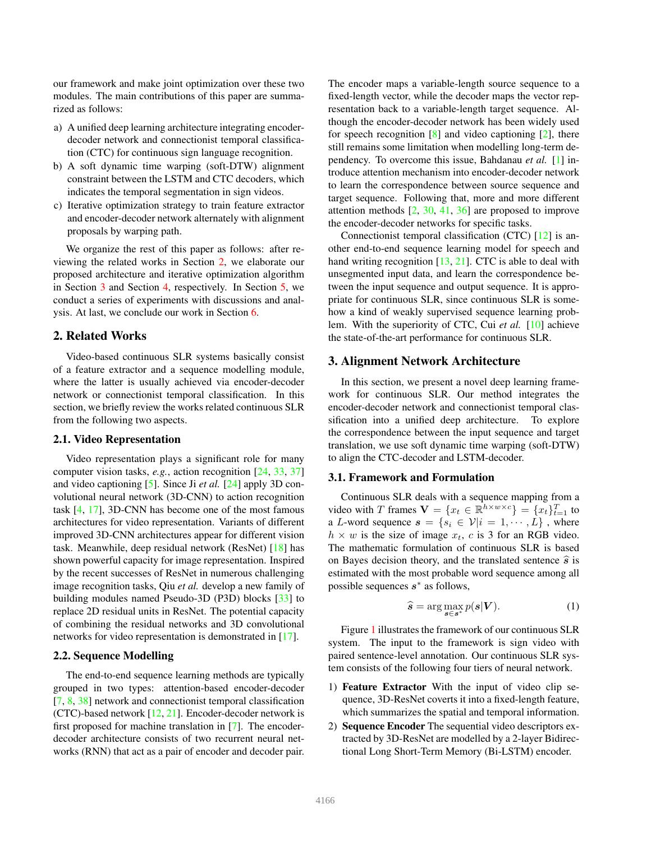our framework and make joint optimization over these two modules. The main contributions of this paper are summarized as follows:

- a) A unified deep learning architecture integrating encoderdecoder network and connectionist temporal classification (CTC) for continuous sign language recognition.
- b) A soft dynamic time warping (soft-DTW) alignment constraint between the LSTM and CTC decoders, which indicates the temporal segmentation in sign videos.
- c) Iterative optimization strategy to train feature extractor and encoder-decoder network alternately with alignment proposals by warping path.

We organize the rest of this paper as follows: after reviewing the related works in Section 2, we elaborate our proposed architecture and iterative optimization algorithm in Section 3 and Section 4, respectively. In Section 5, we conduct a series of experiments with discussions and analysis. At last, we conclude our work in Section 6.

### 2. Related Works

Video-based continuous SLR systems basically consist of a feature extractor and a sequence modelling module, where the latter is usually achieved via encoder-decoder network or connectionist temporal classification. In this section, we briefly review the works related continuous SLR from the following two aspects.

#### 2.1. Video Representation

Video representation plays a significant role for many computer vision tasks, *e.g.*, action recognition [24, 33, 37] and video captioning [5]. Since Ji *et al.* [24] apply 3D convolutional neural network (3D-CNN) to action recognition task [4, 17], 3D-CNN has become one of the most famous architectures for video representation. Variants of different improved 3D-CNN architectures appear for different vision task. Meanwhile, deep residual network (ResNet) [18] has shown powerful capacity for image representation. Inspired by the recent successes of ResNet in numerous challenging image recognition tasks, Qiu *et al.* develop a new family of building modules named Pseudo-3D (P3D) blocks [33] to replace 2D residual units in ResNet. The potential capacity of combining the residual networks and 3D convolutional networks for video representation is demonstrated in [17].

### 2.2. Sequence Modelling

The end-to-end sequence learning methods are typically grouped in two types: attention-based encoder-decoder [7, 8, 38] network and connectionist temporal classification (CTC)-based network [12, 21]. Encoder-decoder network is first proposed for machine translation in [7]. The encoderdecoder architecture consists of two recurrent neural networks (RNN) that act as a pair of encoder and decoder pair. The encoder maps a variable-length source sequence to a fixed-length vector, while the decoder maps the vector representation back to a variable-length target sequence. Although the encoder-decoder network has been widely used for speech recognition  $[8]$  and video captioning  $[2]$ , there still remains some limitation when modelling long-term dependency. To overcome this issue, Bahdanau *et al.* [1] introduce attention mechanism into encoder-decoder network to learn the correspondence between source sequence and target sequence. Following that, more and more different attention methods  $[2, 30, 41, 36]$  are proposed to improve the encoder-decoder networks for specific tasks.

Connectionist temporal classification (CTC) [12] is another end-to-end sequence learning model for speech and hand writing recognition [13, 21]. CTC is able to deal with unsegmented input data, and learn the correspondence between the input sequence and output sequence. It is appropriate for continuous SLR, since continuous SLR is somehow a kind of weakly supervised sequence learning problem. With the superiority of CTC, Cui *et al.* [10] achieve the state-of-the-art performance for continuous SLR.

# 3. Alignment Network Architecture

In this section, we present a novel deep learning framework for continuous SLR. Our method integrates the encoder-decoder network and connectionist temporal classification into a unified deep architecture. To explore the correspondence between the input sequence and target translation, we use soft dynamic time warping (soft-DTW) to align the CTC-decoder and LSTM-decoder.

# 3.1. Framework and Formulation

Continuous SLR deals with a sequence mapping from a video with T frames  $\mathbf{V} = \{x_t \in \mathbb{R}^{h \times w \times c}\} = \{x_t\}_{t=1}^T$  to a L-word sequence  $s = \{s_i \in \mathcal{V} | i = 1, \dots, L\}$ , where  $h \times w$  is the size of image  $x_t$ , c is 3 for an RGB video. The mathematic formulation of continuous SLR is based on Bayes decision theory, and the translated sentence  $\hat{s}$  is estimated with the most probable word sequence among all possible sequences  $s^*$  as follows,

$$
\widehat{\mathbf{s}} = \arg \max_{\mathbf{s} \in \mathbf{s}^*} p(\mathbf{s}|\mathbf{V}). \tag{1}
$$

Figure 1 illustrates the framework of our continuous SLR system. The input to the framework is sign video with paired sentence-level annotation. Our continuous SLR system consists of the following four tiers of neural network.

- 1) Feature Extractor With the input of video clip sequence, 3D-ResNet coverts it into a fixed-length feature, which summarizes the spatial and temporal information.
- 2) **Sequence Encoder** The sequential video descriptors extracted by 3D-ResNet are modelled by a 2-layer Bidirectional Long Short-Term Memory (Bi-LSTM) encoder.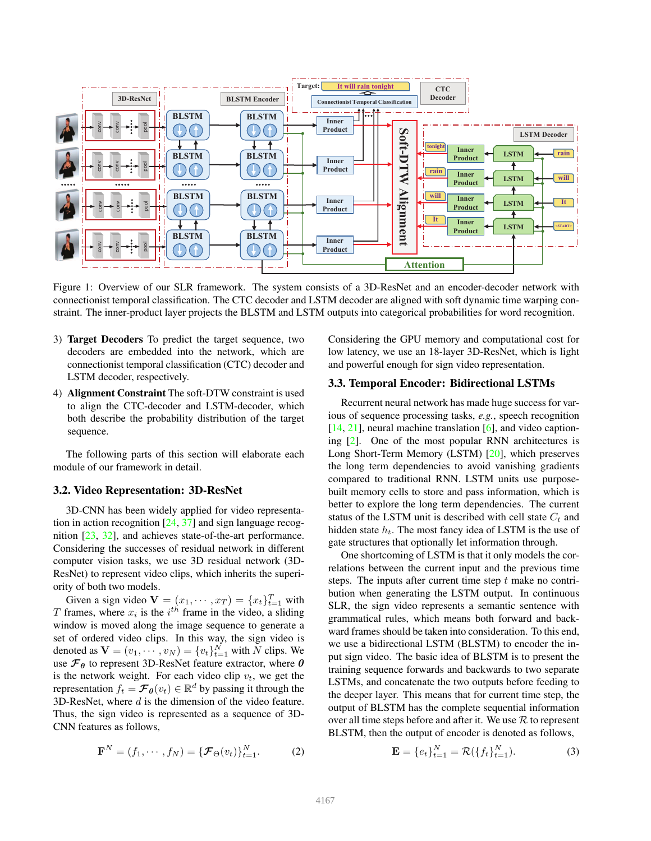

Figure 1: Overview of our SLR framework. The system consists of a 3D-ResNet and an encoder-decoder network with connectionist temporal classification. The CTC decoder and LSTM decoder are aligned with soft dynamic time warping constraint. The inner-product layer projects the BLSTM and LSTM outputs into categorical probabilities for word recognition.

- 3) Target Decoders To predict the target sequence, two decoders are embedded into the network, which are connectionist temporal classification (CTC) decoder and LSTM decoder, respectively.
- 4) Alignment Constraint The soft-DTW constraint is used to align the CTC-decoder and LSTM-decoder, which both describe the probability distribution of the target sequence.

The following parts of this section will elaborate each module of our framework in detail.

# 3.2. Video Representation: 3D-ResNet

3D-CNN has been widely applied for video representation in action recognition [24, 37] and sign language recognition [23, 32], and achieves state-of-the-art performance. Considering the successes of residual network in different computer vision tasks, we use 3D residual network (3D-ResNet) to represent video clips, which inherits the superiority of both two models.

Given a sign video  $\mathbf{V} = (x_1, \dots, x_T) = \{x_t\}_{t=1}^T$  with T frames, where  $x_i$  is the  $i^{th}$  frame in the video, a sliding window is moved along the image sequence to generate a set of ordered video clips. In this way, the sign video is denoted as  $\mathbf{V} = (v_1, \dots, v_N) = \{v_t\}_{t=1}^N$  with N clips. We use  $\mathcal{F}_{\theta}$  to represent 3D-ResNet feature extractor, where  $\theta$ is the network weight. For each video clip  $v_t$ , we get the representation  $f_t = \mathcal{F}_{\theta}(v_t) \in \mathbb{R}^d$  by passing it through the 3D-ResNet, where  $d$  is the dimension of the video feature. Thus, the sign video is represented as a sequence of 3D-CNN features as follows,

$$
\mathbf{F}^{N} = (f_1, \cdots, f_N) = \{ \mathcal{F}_{\Theta}(v_t) \}_{t=1}^{N}.
$$
 (2)

Considering the GPU memory and computational cost for low latency, we use an 18-layer 3D-ResNet, which is light and powerful enough for sign video representation.

# 3.3. Temporal Encoder: Bidirectional LSTMs

Recurrent neural network has made huge success for various of sequence processing tasks, *e.g.*, speech recognition [14, 21], neural machine translation [6], and video captioning [2]. One of the most popular RNN architectures is Long Short-Term Memory (LSTM) [20], which preserves the long term dependencies to avoid vanishing gradients compared to traditional RNN. LSTM units use purposebuilt memory cells to store and pass information, which is better to explore the long term dependencies. The current status of the LSTM unit is described with cell state  $C_t$  and hidden state  $h_t$ . The most fancy idea of LSTM is the use of gate structures that optionally let information through.

One shortcoming of LSTM is that it only models the correlations between the current input and the previous time steps. The inputs after current time step  $t$  make no contribution when generating the LSTM output. In continuous SLR, the sign video represents a semantic sentence with grammatical rules, which means both forward and backward frames should be taken into consideration. To this end, we use a bidirectional LSTM (BLSTM) to encoder the input sign video. The basic idea of BLSTM is to present the training sequence forwards and backwards to two separate LSTMs, and concatenate the two outputs before feeding to the deeper layer. This means that for current time step, the output of BLSTM has the complete sequential information over all time steps before and after it. We use  $R$  to represent BLSTM, then the output of encoder is denoted as follows,

$$
\mathbf{E} = \{e_t\}_{t=1}^N = \mathcal{R}(\{f_t\}_{t=1}^N). \tag{3}
$$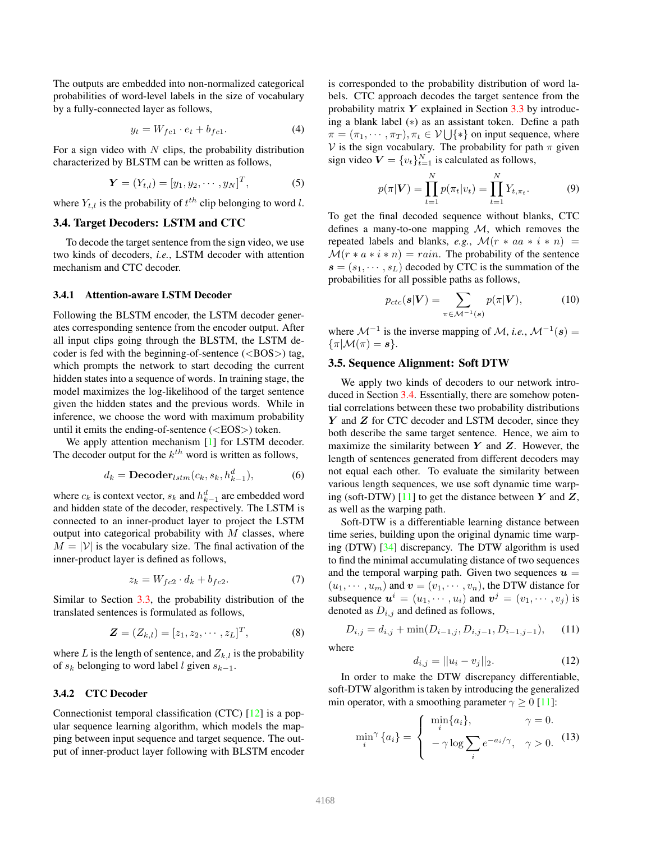The outputs are embedded into non-normalized categorical probabilities of word-level labels in the size of vocabulary by a fully-connected layer as follows,

$$
y_t = W_{fc1} \cdot e_t + b_{fc1}.\tag{4}
$$

For a sign video with  $N$  clips, the probability distribution characterized by BLSTM can be written as follows,

$$
\mathbf{Y} = (Y_{t,l}) = [y_1, y_2, \cdots, y_N]^T, \tag{5}
$$

where  $Y_{t,l}$  is the probability of  $t^{th}$  clip belonging to word l.

# 3.4. Target Decoders: LSTM and CTC

To decode the target sentence from the sign video, we use two kinds of decoders, *i.e.*, LSTM decoder with attention mechanism and CTC decoder.

#### 3.4.1 Attention-aware LSTM Decoder

Following the BLSTM encoder, the LSTM decoder generates corresponding sentence from the encoder output. After all input clips going through the BLSTM, the LSTM decoder is fed with the beginning-of-sentence  $(<\text{BOS}>$ ) tag, which prompts the network to start decoding the current hidden states into a sequence of words. In training stage, the model maximizes the log-likelihood of the target sentence given the hidden states and the previous words. While in inference, we choose the word with maximum probability until it emits the ending-of-sentence  $(<\geq$ EOS $>$ ) token.

We apply attention mechanism [1] for LSTM decoder. The decoder output for the  $k^{th}$  word is written as follows,

$$
d_k = \mathbf{Decoder}_{lstm}(c_k, s_k, h_{k-1}^d), \tag{6}
$$

where  $c_k$  is context vector,  $s_k$  and  $h_{k-1}^d$  are embedded word and hidden state of the decoder, respectively. The LSTM is connected to an inner-product layer to project the LSTM output into categorical probability with  $M$  classes, where  $M = |V|$  is the vocabulary size. The final activation of the inner-product layer is defined as follows,

$$
z_k = W_{fc2} \cdot d_k + b_{fc2}.\tag{7}
$$

Similar to Section 3.3, the probability distribution of the translated sentences is formulated as follows,

$$
\mathbf{Z} = (Z_{k,l}) = [z_1, z_2, \cdots, z_L]^T, \tag{8}
$$

where L is the length of sentence, and  $Z_{k,l}$  is the probability of  $s_k$  belonging to word label l given  $s_{k-1}$ .

#### 3.4.2 CTC Decoder

Connectionist temporal classification (CTC) [12] is a popular sequence learning algorithm, which models the mapping between input sequence and target sequence. The output of inner-product layer following with BLSTM encoder is corresponded to the probability distribution of word labels. CTC approach decodes the target sentence from the probability matrix  $Y$  explained in Section 3.3 by introducing a blank label (∗) as an assistant token. Define a path  $\pi = (\pi_1, \cdots, \pi_T), \pi_t \in \mathcal{V} \cup \{*\}$  on input sequence, where V is the sign vocabulary. The probability for path  $\pi$  given sign video  $\mathbf{V} = \{v_t\}_{t=1}^N$  is calculated as follows,

$$
p(\pi|\mathbf{V}) = \prod_{t=1}^{N} p(\pi_t|v_t) = \prod_{t=1}^{N} Y_{t,\pi_t}.
$$
 (9)

To get the final decoded sequence without blanks, CTC defines a many-to-one mapping  $M$ , which removes the repeated labels and blanks, *e.g.*,  $\mathcal{M}(r \cdot aa \cdot i \cdot n)$  =  $\mathcal{M}(r * a * i * n) = rain$ . The probability of the sentence  $s = (s_1, \dots, s_L)$  decoded by CTC is the summation of the probabilities for all possible paths as follows,

$$
p_{ctc}(\mathbf{s}|\mathbf{V}) = \sum_{\pi \in \mathcal{M}^{-1}(\mathbf{s})} p(\pi|\mathbf{V}), \tag{10}
$$

where  $\mathcal{M}^{-1}$  is the inverse mapping of  $\mathcal{M}$ , *i.e.*,  $\mathcal{M}^{-1}(s)$  =  $\{\pi|\mathcal{M}(\pi) = s\}.$ 

### 3.5. Sequence Alignment: Soft DTW

We apply two kinds of decoders to our network introduced in Section 3.4. Essentially, there are somehow potential correlations between these two probability distributions  $Y$  and  $Z$  for CTC decoder and LSTM decoder, since they both describe the same target sentence. Hence, we aim to maximize the similarity between  $Y$  and  $Z$ . However, the length of sentences generated from different decoders may not equal each other. To evaluate the similarity between various length sequences, we use soft dynamic time warping (soft-DTW) [11] to get the distance between  $Y$  and  $Z$ , as well as the warping path.

Soft-DTW is a differentiable learning distance between time series, building upon the original dynamic time warping (DTW) [34] discrepancy. The DTW algorithm is used to find the minimal accumulating distance of two sequences and the temporal warping path. Given two sequences  $u =$  $(u_1, \dots, u_m)$  and  $\mathbf{v} = (v_1, \dots, v_n)$ , the DTW distance for subsequence  $\mathbf{u}^i = (u_1, \cdots, u_i)$  and  $\mathbf{v}^j = (v_1, \cdots, v_j)$  is denoted as  $D_{i,j}$  and defined as follows,

$$
D_{i,j} = d_{i,j} + \min(D_{i-1,j}, D_{i,j-1}, D_{i-1,j-1}), \quad (11)
$$

where

$$
d_{i,j} = ||u_i - v_j||_2.
$$
 (12)

In order to make the DTW discrepancy differentiable, soft-DTW algorithm is taken by introducing the generalized min operator, with a smoothing parameter  $\gamma \geq 0$  [11]:

$$
\min_{i} \gamma \{a_i\} = \begin{cases} \min_{i} \{a_i\}, & \gamma = 0. \\ -\gamma \log \sum_{i} e^{-a_i/\gamma}, & \gamma > 0. \end{cases}
$$
 (13)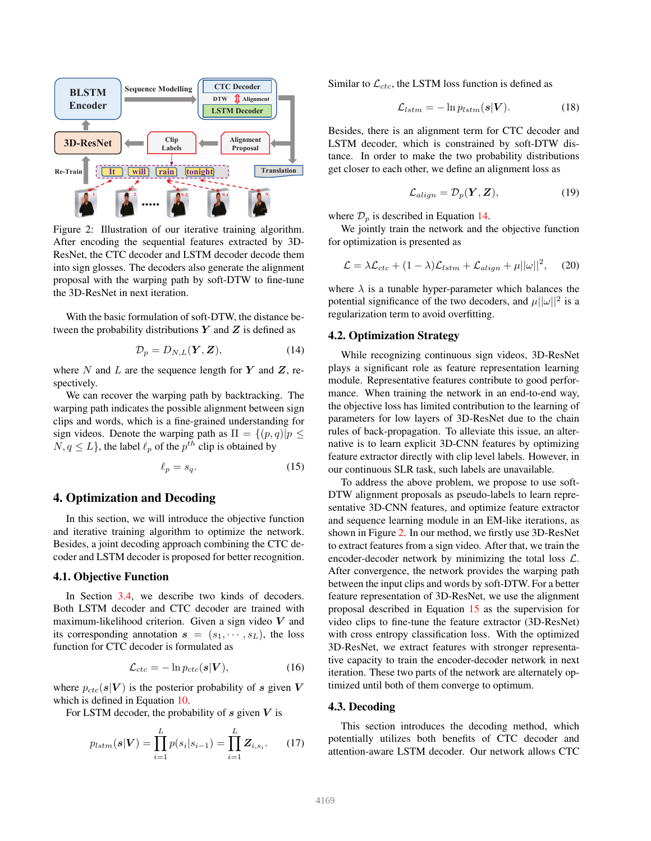

Figure 2: Illustration of our iterative training algorithm. After encoding the sequential features extracted by 3D-ResNet, the CTC decoder and LSTM decoder decode them into sign glosses. The decoders also generate the alignment proposal with the warping path by soft-DTW to fine-tune the 3D-ResNet in next iteration.

With the basic formulation of soft-DTW, the distance between the probability distributions  $Y$  and  $Z$  is defined as

$$
\mathcal{D}_p = D_{N,L}(\mathbf{Y}, \mathbf{Z}),\tag{14}
$$

where N and L are the sequence length for Y and Z, respectively.

We can recover the warping path by backtracking. The warping path indicates the possible alignment between sign clips and words, which is a fine-grained understanding for sign videos. Denote the warping path as  $\Pi = \{(p, q) | p \leq \}$  $N, q \leq L$ , the label  $\ell_p$  of the  $p^{th}$  clip is obtained by

$$
\ell_p = s_q. \tag{15}
$$

# 4. Optimization and Decoding

In this section, we will introduce the objective function and iterative training algorithm to optimize the network. Besides, a joint decoding approach combining the CTC decoder and LSTM decoder is proposed for better recognition.

#### 4.1. Objective Function

In Section 3.4, we describe two kinds of decoders. Both LSTM decoder and CTC decoder are trained with maximum-likelihood criterion. Given a sign video  $V$  and its corresponding annotation  $s = (s_1, \dots, s_L)$ , the loss function for CTC decoder is formulated as

$$
\mathcal{L}_{ctc} = -\ln p_{ctc}(\mathbf{s}|\mathbf{V}),\tag{16}
$$

where  $p_{ctc}(s|V)$  is the posterior probability of s given V which is defined in Equation 10.

For LSTM decoder, the probability of  $s$  given  $V$  is

$$
p_{lstm}(\mathbf{s}|\mathbf{V}) = \prod_{i=1}^{L} p(s_i|s_{i-1}) = \prod_{i=1}^{L} \mathbf{Z}_{i, s_i}.
$$
 (17)

Similar to  $\mathcal{L}_{ctc}$ , the LSTM loss function is defined as

$$
\mathcal{L}_{lstm} = -\ln p_{lstm}(s|V). \tag{18}
$$

Besides, there is an alignment term for CTC decoder and LSTM decoder, which is constrained by soft-DTW distance. In order to make the two probability distributions get closer to each other, we define an alignment loss as

$$
\mathcal{L}_{align} = \mathcal{D}_p(\boldsymbol{Y}, \boldsymbol{Z}),\tag{19}
$$

where  $\mathcal{D}_p$  is described in Equation 14.

We jointly train the network and the objective function for optimization is presented as

$$
\mathcal{L} = \lambda \mathcal{L}_{ctc} + (1 - \lambda) \mathcal{L}_{lstm} + \mathcal{L}_{align} + \mu ||\omega||^2, \quad (20)
$$

where  $\lambda$  is a tunable hyper-parameter which balances the potential significance of the two decoders, and  $\mu ||\omega||^2$  is a regularization term to avoid overfitting.

#### 4.2. Optimization Strategy

While recognizing continuous sign videos, 3D-ResNet plays a significant role as feature representation learning module. Representative features contribute to good performance. When training the network in an end-to-end way, the objective loss has limited contribution to the learning of parameters for low layers of 3D-ResNet due to the chain rules of back-propagation. To alleviate this issue, an alternative is to learn explicit 3D-CNN features by optimizing feature extractor directly with clip level labels. However, in our continuous SLR task, such labels are unavailable.

To address the above problem, we propose to use soft-DTW alignment proposals as pseudo-labels to learn representative 3D-CNN features, and optimize feature extractor and sequence learning module in an EM-like iterations, as shown in Figure 2. In our method, we firstly use 3D-ResNet to extract features from a sign video. After that, we train the encoder-decoder network by minimizing the total loss  $\mathcal{L}$ . After convergence, the network provides the warping path between the input clips and words by soft-DTW. For a better feature representation of 3D-ResNet, we use the alignment proposal described in Equation 15 as the supervision for video clips to fine-tune the feature extractor (3D-ResNet) with cross entropy classification loss. With the optimized 3D-ResNet, we extract features with stronger representative capacity to train the encoder-decoder network in next iteration. These two parts of the network are alternately optimized until both of them converge to optimum.

### 4.3. Decoding

This section introduces the decoding method, which potentially utilizes both benefits of CTC decoder and attention-aware LSTM decoder. Our network allows CTC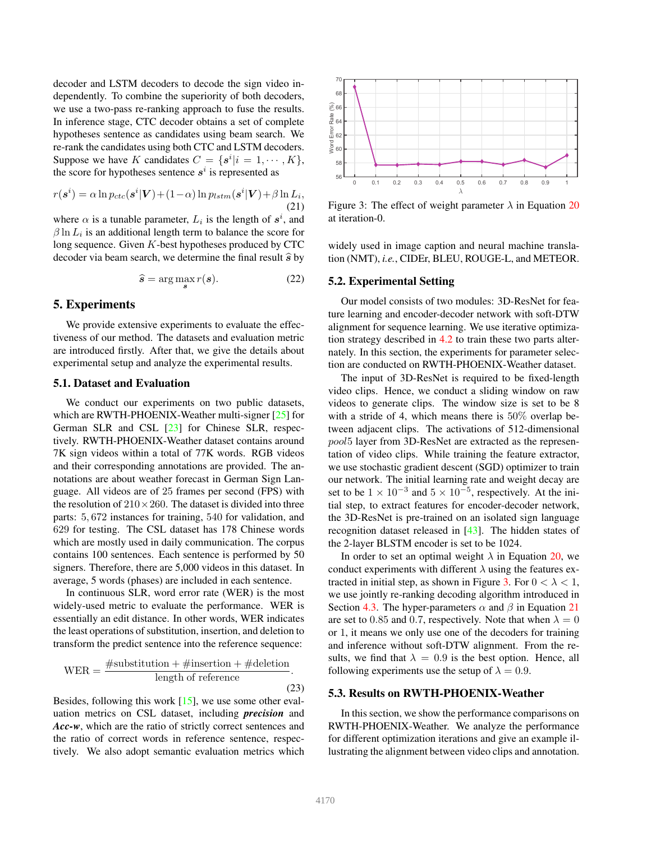decoder and LSTM decoders to decode the sign video independently. To combine the superiority of both decoders, we use a two-pass re-ranking approach to fuse the results. In inference stage, CTC decoder obtains a set of complete hypotheses sentence as candidates using beam search. We re-rank the candidates using both CTC and LSTM decoders. Suppose we have K candidates  $C = \{s^i | i = 1, \dots, K\}$ , the score for hypotheses sentence  $s^i$  is represented as

$$
r(s^{i}) = \alpha \ln p_{ctc}(s^{i}|\mathbf{V}) + (1-\alpha) \ln p_{lstm}(s^{i}|\mathbf{V}) + \beta \ln L_{i},
$$
\n(21)

where  $\alpha$  is a tunable parameter,  $L_i$  is the length of  $s^i$ , and  $\beta \ln L_i$  is an additional length term to balance the score for long sequence. Given K-best hypotheses produced by CTC decoder via beam search, we determine the final result  $\hat{s}$  by

$$
\widehat{\mathbf{s}} = \arg\max_{\mathbf{s}} r(\mathbf{s}).\tag{22}
$$

# 5. Experiments

We provide extensive experiments to evaluate the effectiveness of our method. The datasets and evaluation metric are introduced firstly. After that, we give the details about experimental setup and analyze the experimental results.

#### 5.1. Dataset and Evaluation

We conduct our experiments on two public datasets, which are RWTH-PHOENIX-Weather multi-signer [25] for German SLR and CSL [23] for Chinese SLR, respectively. RWTH-PHOENIX-Weather dataset contains around 7K sign videos within a total of 77K words. RGB videos and their corresponding annotations are provided. The annotations are about weather forecast in German Sign Language. All videos are of 25 frames per second (FPS) with the resolution of  $210 \times 260$ . The dataset is divided into three parts: 5, 672 instances for training, 540 for validation, and 629 for testing. The CSL dataset has 178 Chinese words which are mostly used in daily communication. The corpus contains 100 sentences. Each sentence is performed by 50 signers. Therefore, there are 5,000 videos in this dataset. In average, 5 words (phases) are included in each sentence.

In continuous SLR, word error rate (WER) is the most widely-used metric to evaluate the performance. WER is essentially an edit distance. In other words, WER indicates the least operations of substitution, insertion, and deletion to transform the predict sentence into the reference sequence:

$$
WER = \frac{\#substitution + \#insertion + \# deletion}{length of reference}.
$$
\n(23)

Besides, following this work [15], we use some other evaluation metrics on CSL dataset, including *precision* and *Acc-w*, which are the ratio of strictly correct sentences and the ratio of correct words in reference sentence, respectively. We also adopt semantic evaluation metrics which



Figure 3: The effect of weight parameter  $\lambda$  in Equation 20 at iteration-0.

widely used in image caption and neural machine translation (NMT), *i.e.*, CIDEr, BLEU, ROUGE-L, and METEOR.

#### 5.2. Experimental Setting

Our model consists of two modules: 3D-ResNet for feature learning and encoder-decoder network with soft-DTW alignment for sequence learning. We use iterative optimization strategy described in 4.2 to train these two parts alternately. In this section, the experiments for parameter selection are conducted on RWTH-PHOENIX-Weather dataset.

The input of 3D-ResNet is required to be fixed-length video clips. Hence, we conduct a sliding window on raw videos to generate clips. The window size is set to be 8 with a stride of 4, which means there is 50% overlap between adjacent clips. The activations of 512-dimensional pool5 layer from 3D-ResNet are extracted as the representation of video clips. While training the feature extractor, we use stochastic gradient descent (SGD) optimizer to train our network. The initial learning rate and weight decay are set to be  $1 \times 10^{-3}$  and  $5 \times 10^{-5}$ , respectively. At the initial step, to extract features for encoder-decoder network, the 3D-ResNet is pre-trained on an isolated sign language recognition dataset released in [43]. The hidden states of the 2-layer BLSTM encoder is set to be 1024.

In order to set an optimal weight  $\lambda$  in Equation 20, we conduct experiments with different  $\lambda$  using the features extracted in initial step, as shown in Figure 3. For  $0 < \lambda < 1$ , we use jointly re-ranking decoding algorithm introduced in Section 4.3. The hyper-parameters  $\alpha$  and  $\beta$  in Equation 21 are set to 0.85 and 0.7, respectively. Note that when  $\lambda = 0$ or 1, it means we only use one of the decoders for training and inference without soft-DTW alignment. From the results, we find that  $\lambda = 0.9$  is the best option. Hence, all following experiments use the setup of  $\lambda = 0.9$ .

#### 5.3. Results on RWTH-PHOENIX-Weather

In this section, we show the performance comparisons on RWTH-PHOENIX-Weather. We analyze the performance for different optimization iterations and give an example illustrating the alignment between video clips and annotation.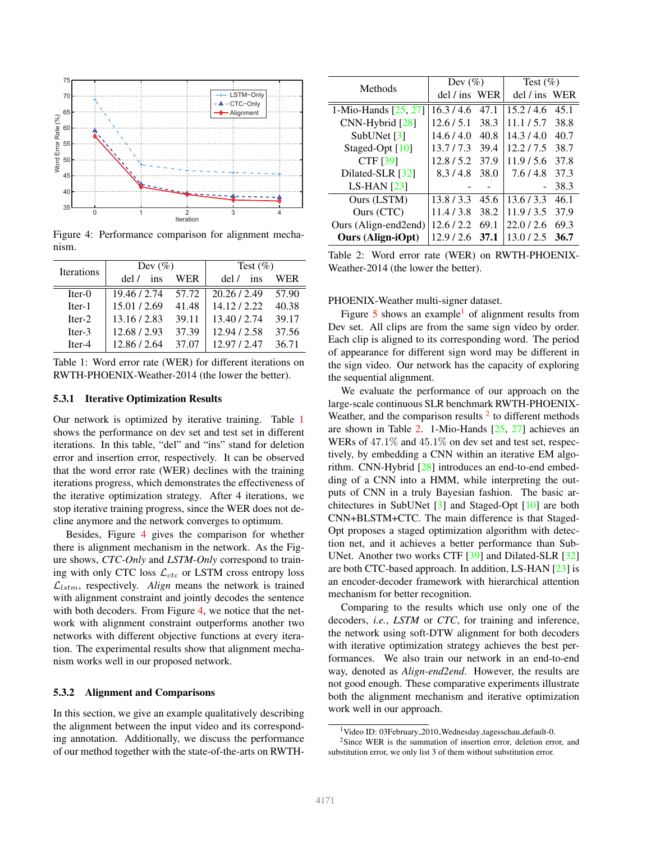

Figure 4: Performance comparison for alignment mechanism.

| <b>Iterations</b> | Dev $(\%)$   |       | Test $(\%)$  |       |  |  |
|-------------------|--------------|-------|--------------|-------|--|--|
|                   | del/<br>ins  | WER   | del /<br>ins | WER   |  |  |
| $Iter-0$          | 19.46 / 2.74 | 57.72 | 20.26/2.49   | 57.90 |  |  |
| Iter-1            | 15.01 / 2.69 | 41.48 | 14.12/2.22   | 40.38 |  |  |
| $Iter-2$          | 13.16/2.83   | 39.11 | 13.40 / 2.74 | 39.17 |  |  |
| $Iter-3$          | 12.68/2.93   | 37.39 | 12.94 / 2.58 | 37.56 |  |  |
| $Iter-4$          | 12.86/2.64   | 37.07 | 12.97/2.47   | 36.71 |  |  |

Table 1: Word error rate (WER) for different iterations on RWTH-PHOENIX-Weather-2014 (the lower the better).

#### 5.3.1 Iterative Optimization Results

Our network is optimized by iterative training. Table 1 shows the performance on dev set and test set in different iterations. In this table, "del" and "ins" stand for deletion error and insertion error, respectively. It can be observed that the word error rate (WER) declines with the training iterations progress, which demonstrates the effectiveness of the iterative optimization strategy. After 4 iterations, we stop iterative training progress, since the WER does not decline anymore and the network converges to optimum.

Besides, Figure 4 gives the comparison for whether there is alignment mechanism in the network. As the Figure shows, *CTC-Only* and *LSTM-Only* correspond to training with only CTC loss  $\mathcal{L}_{ctc}$  or LSTM cross entropy loss  $\mathcal{L}_{lstm}$ , respectively. *Align* means the network is trained with alignment constraint and jointly decodes the sentence with both decoders. From Figure 4, we notice that the network with alignment constraint outperforms another two networks with different objective functions at every iteration. The experimental results show that alignment mechanism works well in our proposed network.

#### 5.3.2 Alignment and Comparisons

In this section, we give an example qualitatively describing the alignment between the input video and its corresponding annotation. Additionally, we discuss the performance of our method together with the state-of-the-arts on RWTH-

| Methods                | Dev $(\%)$    |      | Test $(\% )$  |      |  |  |
|------------------------|---------------|------|---------------|------|--|--|
|                        | del / ins WER |      | del / ins WER |      |  |  |
| 1-Mio-Hands $[25, 27]$ | 16.3 / 4.6    | 47.1 | 15.2 / 4.6    | 45.1 |  |  |
| CNN-Hybrid [28]        | 12.6/5.1      | 38.3 | 11.1/5.7      | 38.8 |  |  |
| SubUNet $[3]$          | 14.6/4.0      | 40.8 | 14.3/4.0      | 40.7 |  |  |
| Staged-Opt [10]        | 13.7/7.3      | 39.4 | 12.2/7.5      | 38.7 |  |  |
| <b>CTF</b> [39]        | 12.8/5.2      | 37.9 | 11.9/5.6      | 37.8 |  |  |
| Dilated-SLR [32]       | 8.3/4.8       | 38.0 | 7.6/4.8       | 37.3 |  |  |
| LS-HAN $[23]$          |               |      |               | 38.3 |  |  |
| Ours (LSTM)            | 13.8 / 3.3    | 45.6 | 13.6/3.3      | 46.1 |  |  |
| Ours (CTC)             | 11.4/3.8      | 38.2 | 11.9/3.5      | 37.9 |  |  |
| Ours (Align-end2end)   | 12.6/2.2      | 69.1 | 22.0/2.6      | 69.3 |  |  |
| Ours (Align-iOpt)      | 12.9/2.6      | 37.1 | 13.0 / 2.5    | 36.7 |  |  |

Table 2: Word error rate (WER) on RWTH-PHOENIX-Weather-2014 (the lower the better).

#### PHOENIX-Weather multi-signer dataset.

Figure 5 shows an example<sup>1</sup> of alignment results from Dev set. All clips are from the same sign video by order. Each clip is aligned to its corresponding word. The period of appearance for different sign word may be different in the sign video. Our network has the capacity of exploring the sequential alignment.

We evaluate the performance of our approach on the large-scale continuous SLR benchmark RWTH-PHOENIX-Weather, and the comparison results  $2$  to different methods are shown in Table 2. 1-Mio-Hands [25, 27] achieves an WERs of 47.1% and 45.1% on dev set and test set, respectively, by embedding a CNN within an iterative EM algorithm. CNN-Hybrid [28] introduces an end-to-end embedding of a CNN into a HMM, while interpreting the outputs of CNN in a truly Bayesian fashion. The basic architectures in SubUNet [3] and Staged-Opt [10] are both CNN+BLSTM+CTC. The main difference is that Staged-Opt proposes a staged optimization algorithm with detection net, and it achieves a better performance than Sub-UNet. Another two works CTF [39] and Dilated-SLR [32] are both CTC-based approach. In addition, LS-HAN [23] is an encoder-decoder framework with hierarchical attention mechanism for better recognition.

Comparing to the results which use only one of the decoders, *i.e.*, *LSTM* or *CTC*, for training and inference, the network using soft-DTW alignment for both decoders with iterative optimization strategy achieves the best performances. We also train our network in an end-to-end way, denoted as *Align-end2end*. However, the results are not good enough. These comparative experiments illustrate both the alignment mechanism and iterative optimization work well in our approach.

<sup>1</sup>Video ID: 03February 2010 Wednesday tagesschau default-0.

<sup>&</sup>lt;sup>2</sup>Since WER is the summation of insertion error, deletion error, and substitution error, we only list 3 of them without substitution error.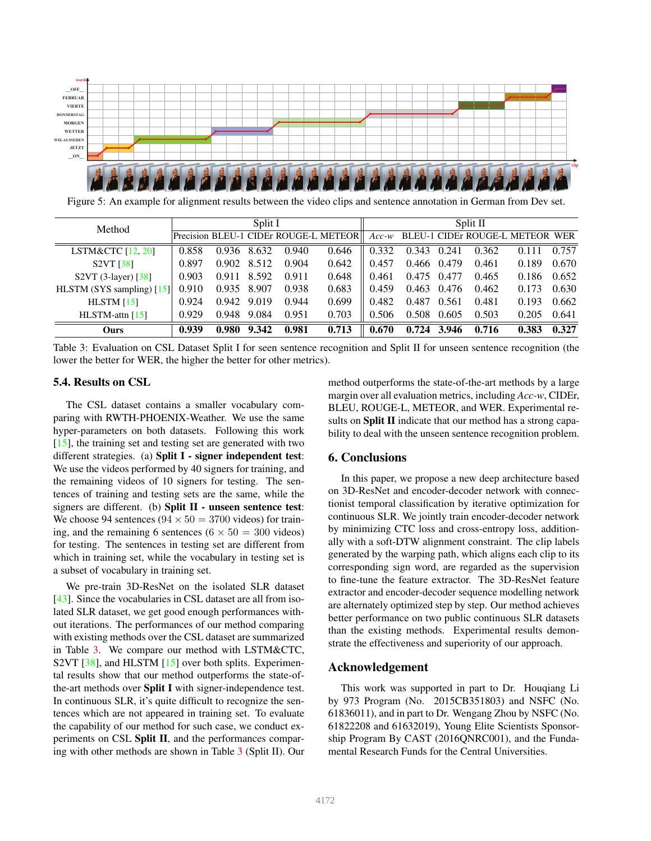

Figure 5: An example for alignment results between the video clips and sentence annotation in German from Dev set.

| Method                               | Split I |       |       | Split II |                                                                             |       |             |       |       |       |       |
|--------------------------------------|---------|-------|-------|----------|-----------------------------------------------------------------------------|-------|-------------|-------|-------|-------|-------|
|                                      |         |       |       |          | Precision BLEU-1 CIDEr ROUGE-L METEOR Acc-w BLEU-1 CIDEr ROUGE-L METEOR WER |       |             |       |       |       |       |
| LSTM&CTC [12, 20]                    | 0.858   | 0.936 | 8.632 | 0.940    | 0.646                                                                       | 0.332 | 0.343 0.241 |       | 0.362 | 0.111 | 0.757 |
| <b>S2VT</b> [38]                     | 0.897   | 0.902 | 8.512 | 0.904    | 0.642                                                                       | 0.457 | 0.466 0.479 |       | 0.461 | 0.189 | 0.670 |
| S2VT $(3$ -layer) $\lceil 38 \rceil$ | 0.903   | 0.911 | 8.592 | 0.911    | 0.648                                                                       | 0.461 | 0.475 0.477 |       | 0.465 | 0.186 | 0.652 |
| HLSTM (SYS sampling) $[15]$          | 0.910   | 0.935 | 8.907 | 0.938    | 0.683                                                                       | 0.459 | 0.463 0.476 |       | 0.462 | 0.173 | 0.630 |
| HLSTM $[15]$                         | 0.924   | 0.942 | 9.019 | 0.944    | 0.699                                                                       | 0.482 | 0.487       | 0.561 | 0.481 | 0.193 | 0.662 |
| HLSTM-attn $[15]$                    | 0.929   | 0.948 | 9.084 | 0.951    | 0.703                                                                       | 0.506 | 0.508       | 0.605 | 0.503 | 0.205 | 0.641 |
| Ours                                 | 0.939   | 0.980 | 9.342 | 0.981    | 0.713                                                                       | 0.670 | 0.724       | 3.946 | 0.716 | 0.383 | 0.327 |

Table 3: Evaluation on CSL Dataset Split I for seen sentence recognition and Split II for unseen sentence recognition (the lower the better for WER, the higher the better for other metrics).

# 5.4. Results on CSL

The CSL dataset contains a smaller vocabulary comparing with RWTH-PHOENIX-Weather. We use the same hyper-parameters on both datasets. Following this work [15], the training set and testing set are generated with two different strategies. (a) Split I - signer independent test: We use the videos performed by 40 signers for training, and the remaining videos of 10 signers for testing. The sentences of training and testing sets are the same, while the signers are different. (b) Split II - unseen sentence test: We choose 94 sentences ( $94 \times 50 = 3700$  videos) for training, and the remaining 6 sentences ( $6 \times 50 = 300$  videos) for testing. The sentences in testing set are different from which in training set, while the vocabulary in testing set is a subset of vocabulary in training set.

We pre-train 3D-ResNet on the isolated SLR dataset [43]. Since the vocabularies in CSL dataset are all from isolated SLR dataset, we get good enough performances without iterations. The performances of our method comparing with existing methods over the CSL dataset are summarized in Table 3. We compare our method with LSTM&CTC, S2VT [38], and HLSTM [15] over both splits. Experimental results show that our method outperforms the state-ofthe-art methods over Split I with signer-independence test. In continuous SLR, it's quite difficult to recognize the sentences which are not appeared in training set. To evaluate the capability of our method for such case, we conduct experiments on CSL Split II, and the performances comparing with other methods are shown in Table 3 (Split II). Our method outperforms the state-of-the-art methods by a large margin over all evaluation metrics, including *Acc-w*, CIDEr, BLEU, ROUGE-L, METEOR, and WER. Experimental results on Split II indicate that our method has a strong capability to deal with the unseen sentence recognition problem.

# 6. Conclusions

In this paper, we propose a new deep architecture based on 3D-ResNet and encoder-decoder network with connectionist temporal classification by iterative optimization for continuous SLR. We jointly train encoder-decoder network by minimizing CTC loss and cross-entropy loss, additionally with a soft-DTW alignment constraint. The clip labels generated by the warping path, which aligns each clip to its corresponding sign word, are regarded as the supervision to fine-tune the feature extractor. The 3D-ResNet feature extractor and encoder-decoder sequence modelling network are alternately optimized step by step. Our method achieves better performance on two public continuous SLR datasets than the existing methods. Experimental results demonstrate the effectiveness and superiority of our approach.

# Acknowledgement

This work was supported in part to Dr. Houqiang Li by 973 Program (No. 2015CB351803) and NSFC (No. 61836011), and in part to Dr. Wengang Zhou by NSFC (No. 61822208 and 61632019), Young Elite Scientists Sponsorship Program By CAST (2016QNRC001), and the Fundamental Research Funds for the Central Universities.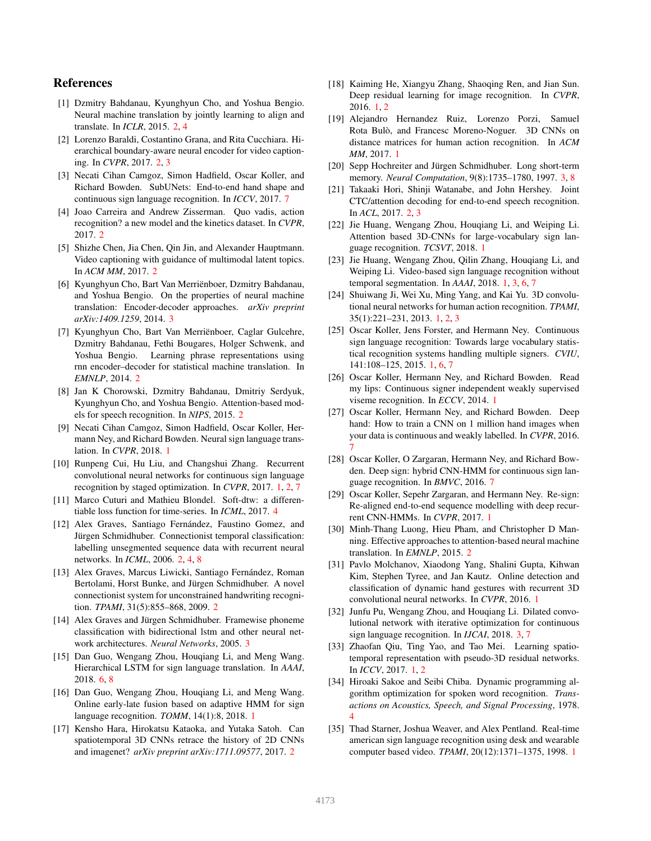# References

- [1] Dzmitry Bahdanau, Kyunghyun Cho, and Yoshua Bengio. Neural machine translation by jointly learning to align and translate. In *ICLR*, 2015. 2, 4
- [2] Lorenzo Baraldi, Costantino Grana, and Rita Cucchiara. Hierarchical boundary-aware neural encoder for video captioning. In *CVPR*, 2017. 2, 3
- [3] Necati Cihan Camgoz, Simon Hadfield, Oscar Koller, and Richard Bowden. SubUNets: End-to-end hand shape and continuous sign language recognition. In *ICCV*, 2017. 7
- [4] Joao Carreira and Andrew Zisserman. Quo vadis, action recognition? a new model and the kinetics dataset. In *CVPR*, 2017. 2
- [5] Shizhe Chen, Jia Chen, Qin Jin, and Alexander Hauptmann. Video captioning with guidance of multimodal latent topics. In *ACM MM*, 2017. 2
- [6] Kyunghyun Cho, Bart Van Merriënboer, Dzmitry Bahdanau, and Yoshua Bengio. On the properties of neural machine translation: Encoder-decoder approaches. *arXiv preprint arXiv:1409.1259*, 2014. 3
- [7] Kyunghyun Cho, Bart Van Merriënboer, Caglar Gulcehre, Dzmitry Bahdanau, Fethi Bougares, Holger Schwenk, and Yoshua Bengio. Learning phrase representations using rnn encoder–decoder for statistical machine translation. In *EMNLP*, 2014. 2
- [8] Jan K Chorowski, Dzmitry Bahdanau, Dmitriy Serdyuk, Kyunghyun Cho, and Yoshua Bengio. Attention-based models for speech recognition. In *NIPS*, 2015. 2
- [9] Necati Cihan Camgoz, Simon Hadfield, Oscar Koller, Hermann Ney, and Richard Bowden. Neural sign language translation. In *CVPR*, 2018. 1
- [10] Runpeng Cui, Hu Liu, and Changshui Zhang. Recurrent convolutional neural networks for continuous sign language recognition by staged optimization. In *CVPR*, 2017. 1, 2, 7
- [11] Marco Cuturi and Mathieu Blondel. Soft-dtw: a differentiable loss function for time-series. In *ICML*, 2017. 4
- [12] Alex Graves, Santiago Fernández, Faustino Gomez, and Jürgen Schmidhuber. Connectionist temporal classification: labelling unsegmented sequence data with recurrent neural networks. In *ICML*, 2006. 2, 4, 8
- [13] Alex Graves, Marcus Liwicki, Santiago Fernández, Roman Bertolami, Horst Bunke, and Jürgen Schmidhuber. A novel connectionist system for unconstrained handwriting recognition. *TPAMI*, 31(5):855-868, 2009. 2
- [14] Alex Graves and Jürgen Schmidhuber. Framewise phoneme classification with bidirectional lstm and other neural network architectures. *Neural Networks*, 2005. 3
- [15] Dan Guo, Wengang Zhou, Houqiang Li, and Meng Wang. Hierarchical LSTM for sign language translation. In *AAAI*, 2018. 6, 8
- [16] Dan Guo, Wengang Zhou, Hougiang Li, and Meng Wang. Online early-late fusion based on adaptive HMM for sign language recognition. *TOMM*, 14(1):8, 2018. 1
- [17] Kensho Hara, Hirokatsu Kataoka, and Yutaka Satoh. Can spatiotemporal 3D CNNs retrace the history of 2D CNNs and imagenet? *arXiv preprint arXiv:1711.09577*, 2017. 2
- [18] Kaiming He, Xiangyu Zhang, Shaoqing Ren, and Jian Sun. Deep residual learning for image recognition. In *CVPR*, 2016. 1, 2
- [19] Alejandro Hernandez Ruiz, Lorenzo Porzi, Samuel Rota Bulò, and Francesc Moreno-Noguer. 3D CNNs on distance matrices for human action recognition. In *ACM MM*, 2017. 1
- [20] Sepp Hochreiter and Jürgen Schmidhuber. Long short-term memory. *Neural Computation*, 9(8):1735–1780, 1997. 3, 8
- [21] Takaaki Hori, Shinji Watanabe, and John Hershey. Joint CTC/attention decoding for end-to-end speech recognition. In *ACL*, 2017. 2, 3
- [22] Jie Huang, Wengang Zhou, Houqiang Li, and Weiping Li. Attention based 3D-CNNs for large-vocabulary sign language recognition. *TCSVT*, 2018. 1
- [23] Jie Huang, Wengang Zhou, Qilin Zhang, Houqiang Li, and Weiping Li. Video-based sign language recognition without temporal segmentation. In *AAAI*, 2018. 1, 3, 6, 7
- [24] Shuiwang Ji, Wei Xu, Ming Yang, and Kai Yu. 3D convolutional neural networks for human action recognition. *TPAMI*, 35(1):221–231, 2013. 1, 2, 3
- [25] Oscar Koller, Jens Forster, and Hermann Ney. Continuous sign language recognition: Towards large vocabulary statistical recognition systems handling multiple signers. *CVIU*, 141:108–125, 2015. 1, 6, 7
- [26] Oscar Koller, Hermann Ney, and Richard Bowden. Read my lips: Continuous signer independent weakly supervised viseme recognition. In *ECCV*, 2014. 1
- [27] Oscar Koller, Hermann Ney, and Richard Bowden. Deep hand: How to train a CNN on 1 million hand images when your data is continuous and weakly labelled. In *CVPR*, 2016. 7
- [28] Oscar Koller, O Zargaran, Hermann Ney, and Richard Bowden. Deep sign: hybrid CNN-HMM for continuous sign language recognition. In *BMVC*, 2016. 7
- [29] Oscar Koller, Sepehr Zargaran, and Hermann Ney. Re-sign: Re-aligned end-to-end sequence modelling with deep recurrent CNN-HMMs. In *CVPR*, 2017. 1
- [30] Minh-Thang Luong, Hieu Pham, and Christopher D Manning. Effective approaches to attention-based neural machine translation. In *EMNLP*, 2015. 2
- [31] Pavlo Molchanov, Xiaodong Yang, Shalini Gupta, Kihwan Kim, Stephen Tyree, and Jan Kautz. Online detection and classification of dynamic hand gestures with recurrent 3D convolutional neural networks. In *CVPR*, 2016. 1
- [32] Junfu Pu, Wengang Zhou, and Houqiang Li. Dilated convolutional network with iterative optimization for continuous sign language recognition. In *IJCAI*, 2018. 3, 7
- [33] Zhaofan Qiu, Ting Yao, and Tao Mei. Learning spatiotemporal representation with pseudo-3D residual networks. In *ICCV*, 2017. 1, 2
- [34] Hiroaki Sakoe and Seibi Chiba. Dynamic programming algorithm optimization for spoken word recognition. *Transactions on Acoustics, Speech, and Signal Processing*, 1978. 4
- [35] Thad Starner, Joshua Weaver, and Alex Pentland. Real-time american sign language recognition using desk and wearable computer based video. *TPAMI*, 20(12):1371–1375, 1998. 1